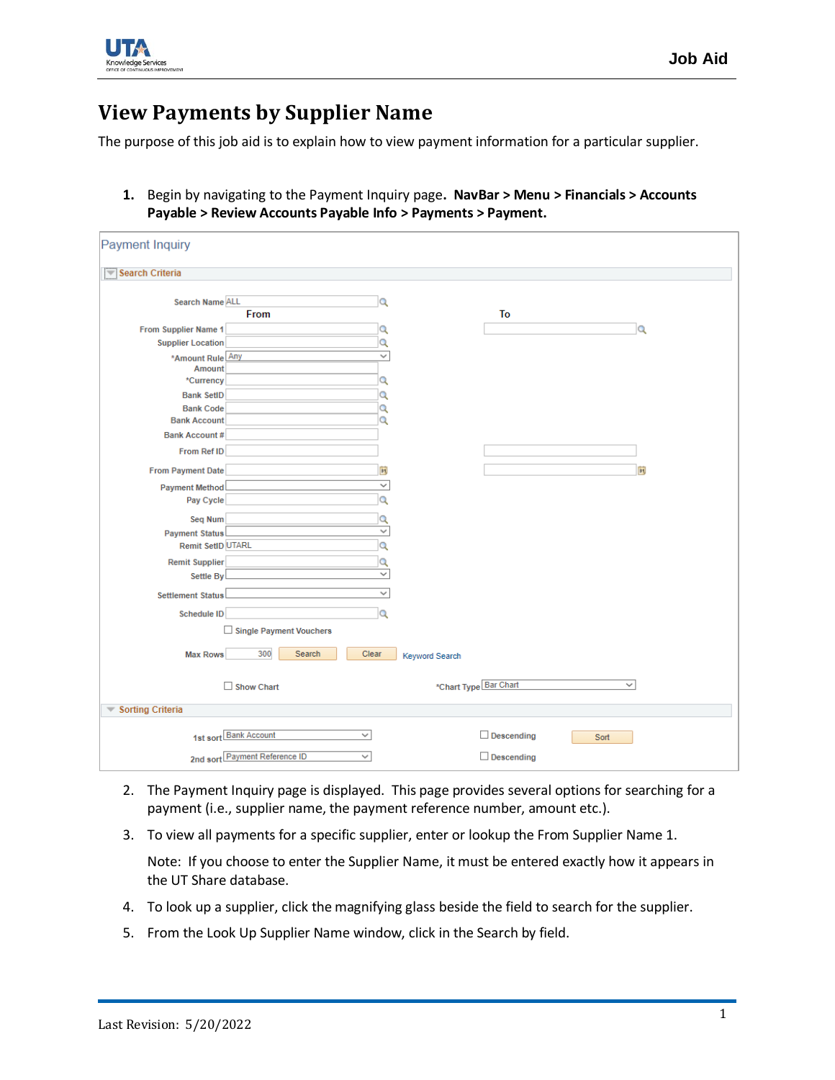

## **View Payments by Supplier Name**

The purpose of this job aid is to explain how to view payment information for a particular supplier.

**1.** Begin by navigating to the Payment Inquiry page**. NavBar > Menu > Financials > Accounts Payable > Review Accounts Payable Info > Payments > Payment.**

| Payment Inquiry                                   |                               |                     |                       |                       |      |
|---------------------------------------------------|-------------------------------|---------------------|-----------------------|-----------------------|------|
| Search Criteria                                   |                               |                     |                       |                       |      |
|                                                   |                               |                     |                       |                       |      |
| Search Name ALL                                   | From                          | Q                   |                       | To                    |      |
| From Supplier Name 1                              |                               | Q                   |                       |                       | Q    |
| <b>Supplier Location</b>                          |                               | $\alpha$            |                       |                       |      |
| *Amount Rule Any                                  |                               | $\checkmark$        |                       |                       |      |
| Amount                                            |                               |                     |                       |                       |      |
| *Currency                                         |                               | $\alpha$            |                       |                       |      |
| <b>Bank SetID</b>                                 |                               | Q                   |                       |                       |      |
| <b>Bank Code</b><br><b>Bank Account</b>           |                               | Q<br>Q              |                       |                       |      |
| <b>Bank Account#</b>                              |                               |                     |                       |                       |      |
| <b>From Ref ID</b>                                |                               |                     |                       |                       |      |
|                                                   |                               |                     |                       |                       |      |
| <b>From Payment Date</b>                          |                               | 31 <br>$\checkmark$ |                       |                       | 31   |
| <b>Payment Method</b><br>Pay Cycle                |                               | Q                   |                       |                       |      |
|                                                   |                               |                     |                       |                       |      |
| Seq Num                                           |                               | Q<br>$\checkmark$   |                       |                       |      |
| <b>Payment Status</b><br><b>Remit SetID UTARL</b> |                               | $\alpha$            |                       |                       |      |
| <b>Remit Supplier</b>                             |                               | $\alpha$            |                       |                       |      |
| Settle By                                         |                               | $\checkmark$        |                       |                       |      |
|                                                   |                               | $\checkmark$        |                       |                       |      |
| <b>Settlement Status</b>                          |                               |                     |                       |                       |      |
| Schedule ID                                       |                               | Q                   |                       |                       |      |
|                                                   | Single Payment Vouchers       |                     |                       |                       |      |
| <b>Max Rows</b>                                   | 300<br>Search                 | Clear               |                       |                       |      |
|                                                   |                               |                     | <b>Keyword Search</b> |                       |      |
|                                                   | $\Box$ Show Chart             |                     |                       | *Chart Type Bar Chart | v    |
|                                                   |                               |                     |                       |                       |      |
| Sorting Criteria                                  |                               |                     |                       |                       |      |
|                                                   |                               |                     |                       |                       |      |
|                                                   | 1st sort Bank Account         | $\checkmark$        |                       | $\Box$ Descending     | Sort |
|                                                   | 2nd sort Payment Reference ID | $\checkmark$        |                       | $\Box$ Descending     |      |

- 2. The Payment Inquiry page is displayed. This page provides several options for searching for a payment (i.e., supplier name, the payment reference number, amount etc.).
- 3. To view all payments for a specific supplier, enter or lookup the From Supplier Name 1.

Note: If you choose to enter the Supplier Name, it must be entered exactly how it appears in the UT Share database.

- 4. To look up a supplier, click the magnifying glass beside the field to search for the supplier.
- 5. From the Look Up Supplier Name window, click in the Search by field.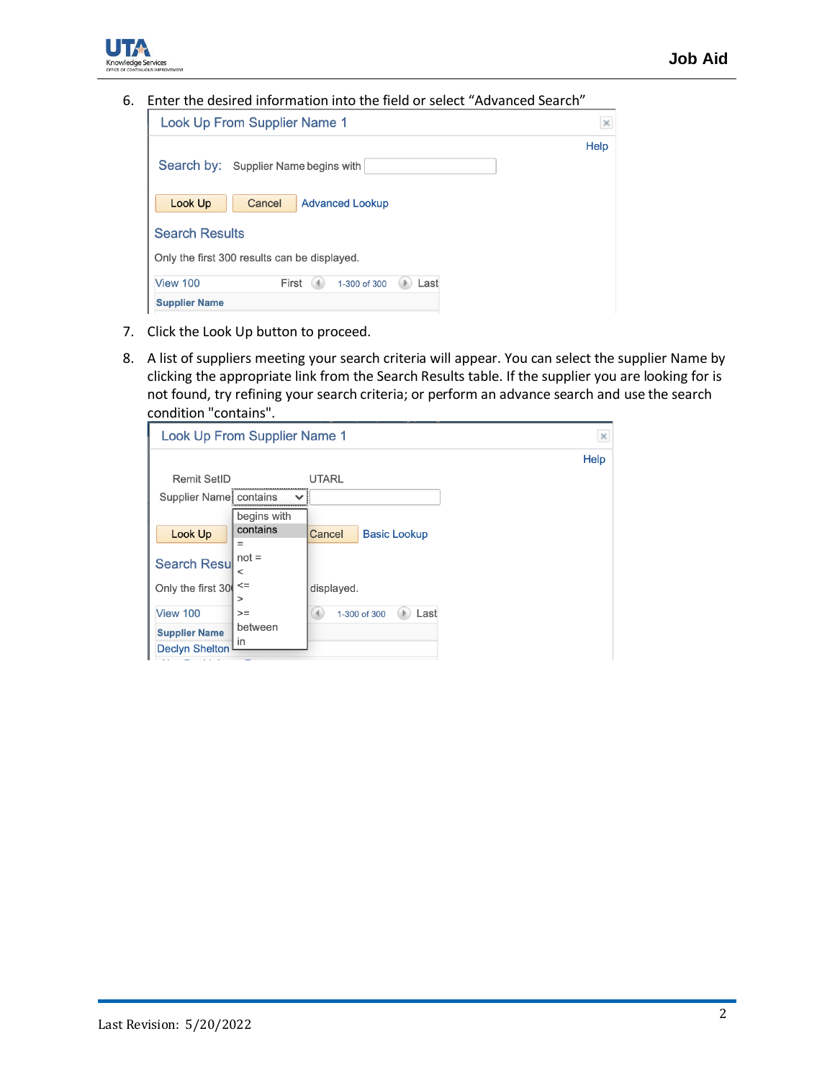

6. Enter the desired information into the field or select "Advanced Search"

| <b>Look Up From Supplier Name 1</b>          |      |  |  |  |  |  |  |  |  |  |
|----------------------------------------------|------|--|--|--|--|--|--|--|--|--|
| Search by: Supplier Name begins with         | Help |  |  |  |  |  |  |  |  |  |
| Look Up<br>Cancel<br><b>Advanced Lookup</b>  |      |  |  |  |  |  |  |  |  |  |
| <b>Search Results</b>                        |      |  |  |  |  |  |  |  |  |  |
| Only the first 300 results can be displayed. |      |  |  |  |  |  |  |  |  |  |
| View 100<br>First<br>Last<br>1-300 of 300    |      |  |  |  |  |  |  |  |  |  |
| <b>Supplier Name</b>                         |      |  |  |  |  |  |  |  |  |  |

7. Click the Look Up button to proceed.

Knowledge Services

8. A list of suppliers meeting your search criteria will appear. You can select the supplier Name by clicking the appropriate link from the Search Results table. If the supplier you are looking for is not found, try refining your search criteria; or perform an advance search and use the search condition "contains".

| Look Up From Supplier Name 1                  |                    |                               |      |  |  |  |  |
|-----------------------------------------------|--------------------|-------------------------------|------|--|--|--|--|
|                                               |                    |                               | Help |  |  |  |  |
| <b>Remit SetID</b>                            |                    | <b>UTARL</b>                  |      |  |  |  |  |
| Supplier Name   contains                      |                    |                               |      |  |  |  |  |
|                                               | begins with        |                               |      |  |  |  |  |
| Look Up                                       | contains<br>$=$    | Cancel<br><b>Basic Lookup</b> |      |  |  |  |  |
| <b>Search Resu</b>                            | $not =$<br>$\,<\,$ |                               |      |  |  |  |  |
| Only the first 30                             | $\leq$<br>>        | displayed.                    |      |  |  |  |  |
| View 100                                      | $>=$               | 1-300 of 300<br>Last<br>64    |      |  |  |  |  |
| <b>Supplier Name</b><br><b>Declyn Shelton</b> | between<br>in      |                               |      |  |  |  |  |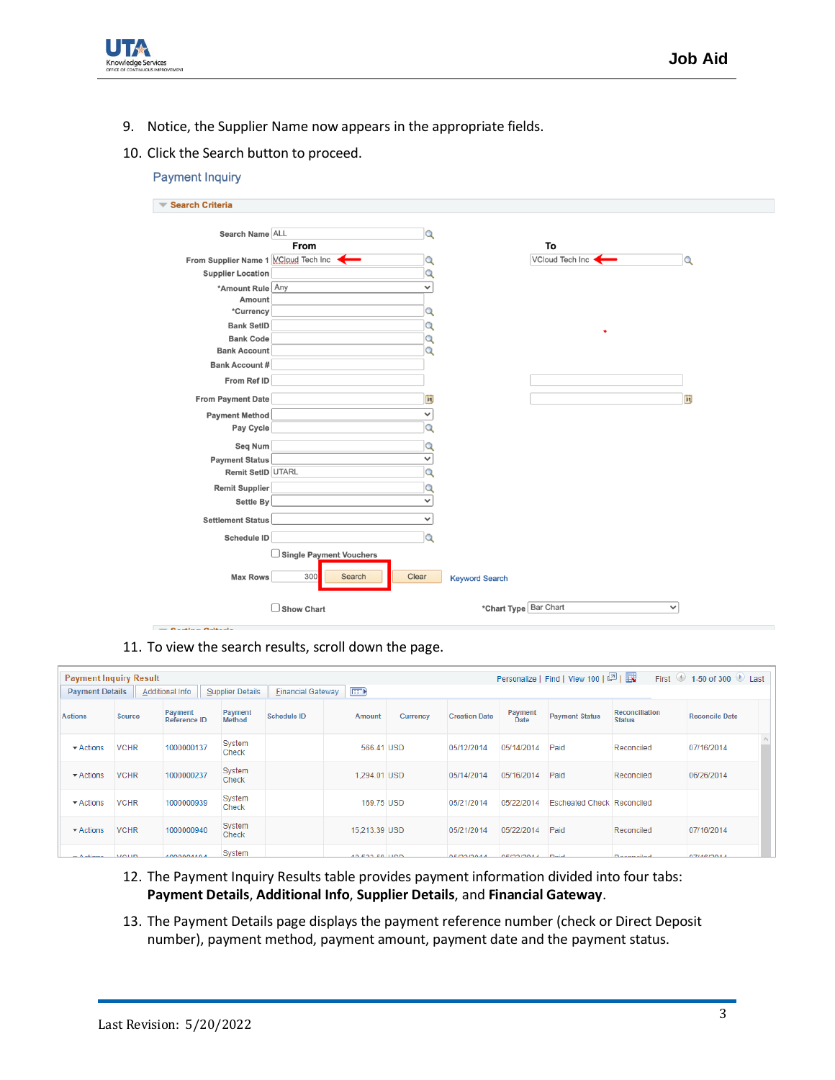

9. Notice, the Supplier Name now appears in the appropriate fields.

## 10. Click the Search button to proceed.

| <b>Payment Inquiry</b>                                           |                                                        |                   |                       |                         |          |
|------------------------------------------------------------------|--------------------------------------------------------|-------------------|-----------------------|-------------------------|----------|
| <b>Search Criteria</b><br>$\overline{\phantom{a}}$               |                                                        |                   |                       |                         |          |
| Search Name ALL                                                  |                                                        | Q                 |                       |                         |          |
|                                                                  | From                                                   |                   |                       | To<br>VCloud Tech Inc < |          |
| From Supplier Name 1 VCloud Tech Inc<br><b>Supplier Location</b> |                                                        | Q                 |                       |                         | $\alpha$ |
|                                                                  |                                                        | $\checkmark$      |                       |                         |          |
| *Amount Rule Any<br>Amount                                       |                                                        |                   |                       |                         |          |
| *Currency                                                        |                                                        | Q                 |                       |                         |          |
| <b>Bank SetID</b>                                                |                                                        | Q                 |                       |                         |          |
| <b>Bank Code</b>                                                 |                                                        | Q                 |                       | ٠                       |          |
| <b>Bank Account</b>                                              |                                                        | Q                 |                       |                         |          |
| <b>Bank Account #</b>                                            |                                                        |                   |                       |                         |          |
| From Ref ID                                                      |                                                        |                   |                       |                         |          |
| From Payment Date                                                |                                                        | H                 |                       |                         | H        |
| <b>Payment Method</b>                                            |                                                        | ╰                 |                       |                         |          |
| Pay Cycle                                                        |                                                        | $\bigcirc$        |                       |                         |          |
|                                                                  |                                                        |                   |                       |                         |          |
| Seq Num                                                          |                                                        | $\checkmark$      |                       |                         |          |
| <b>Payment Status</b><br>Remit SetID UTARL                       |                                                        | Q                 |                       |                         |          |
|                                                                  |                                                        |                   |                       |                         |          |
| <b>Remit Supplier</b>                                            |                                                        | Q<br>$\checkmark$ |                       |                         |          |
| Settle By                                                        |                                                        |                   |                       |                         |          |
| <b>Settlement Status</b>                                         |                                                        | $\checkmark$      |                       |                         |          |
| Schedule ID                                                      |                                                        | Q                 |                       |                         |          |
| <b>Max Rows</b>                                                  | $\frac{1}{2}$ Single Payment Vouchers<br>300<br>Search | Clear             | <b>Keyword Search</b> |                         |          |
|                                                                  | $\Box$ Show Chart                                      |                   | *Chart Type Bar Chart | $\checkmark$            |          |

11. To view the search results, scroll down the page.

 $= 0.4444 \times 0.04444$ 

| Personalize   Find   View 100   2    <br>$\bigcirc$ 1-50 of 300 $\bigcirc$ Last<br><b>Payment Inquiry Result</b><br>First |             |                         |                   |                          |               |          |                      |                 |                                   |                                 |                       |  |
|---------------------------------------------------------------------------------------------------------------------------|-------------|-------------------------|-------------------|--------------------------|---------------|----------|----------------------|-----------------|-----------------------------------|---------------------------------|-----------------------|--|
| <b>Payment Details</b>                                                                                                    |             | <b>Additional Info</b>  | Supplier Details  | <b>Einancial Gateway</b> | $\boxed{=}$   |          |                      |                 |                                   |                                 |                       |  |
| <b>Actions</b>                                                                                                            | Source      | Payment<br>Reference ID | Payment<br>Method | Schedule ID              | Amount        | Currency | <b>Creation Date</b> | Payment<br>Date | <b>Payment Status</b>             | Reconciliation<br><b>Status</b> | <b>Reconcile Date</b> |  |
| $\blacktriangleright$ Actions                                                                                             | <b>VCHR</b> | 1000000137              | System<br>Check   |                          | 566.41 USD    |          | 05/12/2014           | 05/14/2014      | Paid                              | Reconciled                      | 07/16/2014            |  |
| $\blacktriangleright$ Actions                                                                                             | <b>VCHR</b> | 1000000237              | System<br>Check   |                          | 1,294.01 USD  |          | 05/14/2014           | 05/16/2014      | Paid                              | Reconciled                      | 06/26/2014            |  |
| $\blacktriangleright$ Actions                                                                                             | <b>VCHR</b> | 1000000939              | System<br>Check   |                          | 169.75 USD    |          | 05/21/2014           | 05/22/2014      | <b>Escheated Check Reconciled</b> |                                 |                       |  |
| $\blacktriangleright$ Actions                                                                                             | <b>VCHR</b> | 1000000940              | System<br>Check   |                          | 15,213.39 USD |          | 05/21/2014           | 05/22/2014      | Paid                              | Reconciled                      | 07/16/2014            |  |
|                                                                                                                           |             | .                       | System            |                          | .             |          | ---------            | __________      |                                   |                                 | ----------            |  |

- 12. The Payment Inquiry Results table provides payment information divided into four tabs: **Payment Details**, **Additional Info**, **Supplier Details**, and **Financial Gateway**.
- 13. The Payment Details page displays the payment reference number (check or Direct Deposit number), payment method, payment amount, payment date and the payment status.